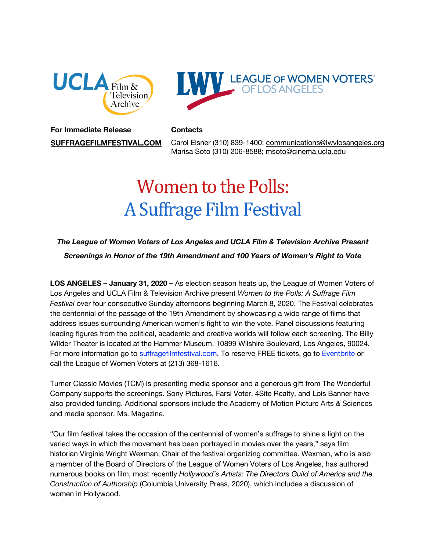



## **For Immediate Release Contacts**

**[SUFFRAGEFILMFESTIVAL.COM](http://suffragefilmfestival.com/)** Carol Eisner (310) 839-1400; [communications@lwvlosangeles.org](mailto:communications@lwvlosangeles.org) Marisa Soto (310) 206-8588; m[soto@cinema.ucla.edu](mailto:msoto@cinema.ucla.edu) 

# Women to the Polls: A Suffrage Film Festival

## *The League of Women Voters of Los Angeles and UCLA Film & Television Archive Present Screenings in Honor of the 19th Amendment and 100 Years of Women's Right to Vote*

**LOS ANGELES – January 31, 2020 –** As election season heats up, the League of Women Voters of Los Angeles and UCLA Film & Television Archive present *Women to the Polls: A Suffrage Film Festival* over four consecutive Sunday afternoons beginning March 8, 2020. The Festival celebrates the centennial of the passage of the 19th Amendment by showcasing a wide range of films that address issues surrounding American women's fight to win the vote. Panel discussions featuring leading figures from the political, academic and creative worlds will follow each screening. The Billy Wilder Theater is located at the Hammer Museum, 10899 Wilshire Boulevard, Los Angeles, 90024. For more information go to [suffragefilmfestival.com.](http://suffragefilmfestival.com/) To reserve FREE tickets, go to [Eventbrite](https://www.eventbrite.com/e/women-to-the-polls-a-suffrage-film-festival-tickets-72451796273) or call the League of Women Voters at (213) 368-1616.

Turner Classic Movies (TCM) is presenting media sponsor and a generous gift from The Wonderful Company supports the screenings. Sony Pictures, Farsi Voter, 4Site Realty, and Lois Banner have also provided funding. Additional sponsors include the Academy of Motion Picture Arts & Sciences and media sponsor, Ms. Magazine.

"Our film festival takes the occasion of the centennial of women's suffrage to shine a light on the varied ways in which the movement has been portrayed in movies over the years," says film historian Virginia Wright Wexman, Chair of the festival organizing committee. Wexman, who is also a member of the Board of Directors of the League of Women Voters of Los Angeles, has authored numerous books on film, most recently *Hollywood's Artists: The Directors Guild of America and the Construction of Authorship* (Columbia University Press, 2020), which includes a discussion of women in Hollywood.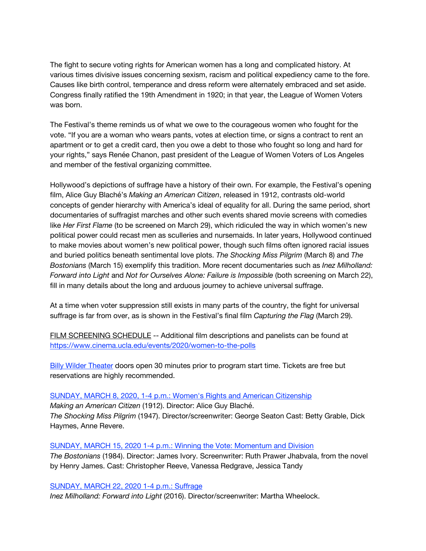The fight to secure voting rights for American women has a long and complicated history. At various times divisive issues concerning sexism, racism and political expediency came to the fore. Causes like birth control, temperance and dress reform were alternately embraced and set aside. Congress finally ratified the 19th Amendment in 1920; in that year, the League of Women Voters was born.

The Festival's theme reminds us of what we owe to the courageous women who fought for the vote. "If you are a woman who wears pants, votes at election time, or signs a contract to rent an apartment or to get a credit card, then you owe a debt to those who fought so long and hard for your rights," says Renée Chanon, past president of the League of Women Voters of Los Angeles and member of the festival organizing committee.

Hollywood's depictions of suffrage have a history of their own. For example, the Festival's opening film, Alice Guy Blaché's *Making an American Citizen*, released in 1912, contrasts old-world concepts of gender hierarchy with America's ideal of equality for all. During the same period, short documentaries of suffragist marches and other such events shared movie screens with comedies like *Her First Flame* (to be screened on March 29), which ridiculed the way in which women's new political power could recast men as sculleries and nursemaids. In later years, Hollywood continued to make movies about women's new political power, though such films often ignored racial issues and buried politics beneath sentimental love plots. *The Shocking Miss Pilgrim* (March 8) and *The Bostonians* (March 15) exemplify this tradition. More recent documentaries such as *Inez Milholland: Forward into Light* and *Not for Ourselves Alone: Failure is Impossible* (both screening on March 22), fill in many details about the long and arduous journey to achieve universal suffrage.

At a time when voter suppression still exists in many parts of the country, the fight for universal suffrage is far from over, as is shown in the Festival's final film *Capturing the Flag* (March 29).

FILM SCREENING SCHEDULE -- Additional film descriptions and panelists can be found at <https://www.cinema.ucla.edu/events/2020/women-to-the-polls>

**[Billy Wilder Theater](https://www.cinema.ucla.edu/billy-wilder-theater) doors open 30 minutes prior to program start time. Tickets are free but** reservations are highly recommended.

[SUNDAY, MARCH 8, 2020, 1-4 p.m.: Women's Rights and American Citizenship](https://www.cinema.ucla.edu/events/2020/03/08/shocking-miss-pilgrim) *Making an American Citizen* (1912). Director: Alice Guy Blaché. *The Shocking Miss Pilgrim* (1947). Director/screenwriter: George Seaton Cast: Betty Grable, Dick Haymes, Anne Revere.

[SUNDAY, MARCH 15, 2020 1-4 p.m.: Winning the Vote: Momentum and Division](https://www.cinema.ucla.edu/events/2020/03/15/bostonians) *The Bostonians* (1984). Director: James Ivory. Screenwriter: Ruth Prawer Jhabvala, from the novel by Henry James. Cast: Christopher Reeve, Vanessa Redgrave, Jessica Tandy

[SUNDAY, MARCH 22, 2020 1-4 p.m.: Suffrage](https://www.cinema.ucla.edu/events/2020/03/22/not-for-ourselves)

*Inez Milholland: Forward into Light* (2016). Director/screenwriter: Martha Wheelock.